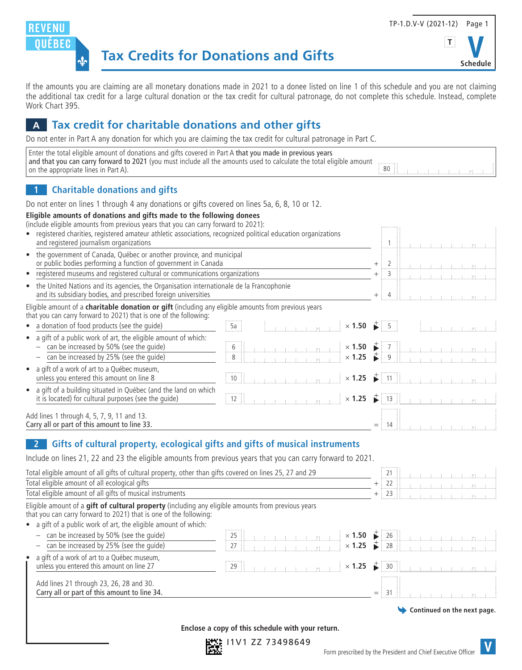



**Schedule**

If the amounts you are claiming are all monetary donations made in 2021 to a donee listed on line 1 of this schedule and you are not claiming the additional tax credit for a large cultural donation or the tax credit for cultural patronage, do not complete this schedule. Instead, complete Work Chart 395.

# **A Tax credit for charitable donations and other gifts**

Do not enter in Part A any donation for which you are claiming the tax credit for cultural patronage in Part C.

| Enter the total eligible amount of donations and gifts covered in Part A that you made in previous years             |    |  |  |  |
|----------------------------------------------------------------------------------------------------------------------|----|--|--|--|
| and that you can carry forward to 2021 (you must include all the amounts used to calculate the total eligible amount |    |  |  |  |
| on the appropriate lines in Part A).                                                                                 | 80 |  |  |  |

#### **1 Charitable donations and gifts**

Do not enter on lines 1 through 4 any donations or gifts covered on lines 5a, 6, 8, 10 or 12.

#### **Eligible amounts of donations and gifts made to the following donees**

(include eligible amounts from previous years that you can carry forward to 2021):

| • registered charities, registered amateur athletic associations, recognized political education organizations<br>and registered journalism organizations                 |  |  |  |  | $\label{eq:3} \mathcal{L} = \mathcal{L} \left( \mathcal{L} \right) \mathcal{L} \left( \mathcal{L} \right) \mathcal{L} \left( \mathcal{L} \right) \mathcal{L} \left( \mathcal{L} \right) \mathcal{L} \left( \mathcal{L} \right) \mathcal{L} \left( \mathcal{L} \right) \mathcal{L} \left( \mathcal{L} \right) \mathcal{L} \left( \mathcal{L} \right) \mathcal{L} \left( \mathcal{L} \right) \mathcal{L} \left( \mathcal{L} \right) \mathcal{L} \left( \mathcal{L} \right) \mathcal{L} \left$ |  |
|---------------------------------------------------------------------------------------------------------------------------------------------------------------------------|--|--|--|--|---------------------------------------------------------------------------------------------------------------------------------------------------------------------------------------------------------------------------------------------------------------------------------------------------------------------------------------------------------------------------------------------------------------------------------------------------------------------------------------------|--|
| • the government of Canada, Québec or another province, and municipal<br>or public bodies performing a function of government in Canada                                   |  |  |  |  |                                                                                                                                                                                                                                                                                                                                                                                                                                                                                             |  |
| • registered museums and registered cultural or communications organizations                                                                                              |  |  |  |  | $+$ 3 H $\,$ and a second second second second second second second second second second second second second second second second second second second second second second second second second second second second second                                                                                                                                                                                                                                                               |  |
| • the United Nations and its agencies, the Organisation internationale de la Francophonie<br>and its subsidiary bodies, and prescribed foreign universities               |  |  |  |  |                                                                                                                                                                                                                                                                                                                                                                                                                                                                                             |  |
| Eligible amount of a charitable donation or gift (including any eligible amounts from previous years<br>that you can carry forward to 2021) that is one of the following: |  |  |  |  |                                                                                                                                                                                                                                                                                                                                                                                                                                                                                             |  |
| • a donation of food products (see the quide)                                                                                                                             |  |  |  |  |                                                                                                                                                                                                                                                                                                                                                                                                                                                                                             |  |
| • a gift of a public work of art, the eligible amount of which:<br>$-$ can be increased by 50% (see the quide)                                                            |  |  |  |  |                                                                                                                                                                                                                                                                                                                                                                                                                                                                                             |  |
| can be increased by 25% (see the quide)                                                                                                                                   |  |  |  |  |                                                                                                                                                                                                                                                                                                                                                                                                                                                                                             |  |
| • a gift of a work of art to a Québec museum,<br>unless you entered this amount on line 8                                                                                 |  |  |  |  |                                                                                                                                                                                                                                                                                                                                                                                                                                                                                             |  |
| • a gift of a building situated in Québec (and the land on which<br>it is located) for cultural purposes (see the quide)                                                  |  |  |  |  |                                                                                                                                                                                                                                                                                                                                                                                                                                                                                             |  |
| Add lines 1 through 4, 5, 7, 9, 11 and 13.<br>Carry all or part of this amount to line 33.                                                                                |  |  |  |  |                                                                                                                                                                                                                                                                                                                                                                                                                                                                                             |  |

#### **2 Gifts of cultural property, ecological gifts and gifts of musical instruments**

Include on lines 21, 22 and 23 the eligible amounts from previous years that you can carry forward to 2021.

| Total eligible amount of all gifts of cultural property, other than gifts covered on lines 25, 27 and 29                                                                |                                                                                                       |               |                             |
|-------------------------------------------------------------------------------------------------------------------------------------------------------------------------|-------------------------------------------------------------------------------------------------------|---------------|-----------------------------|
| Total eligible amount of all ecological gifts                                                                                                                           |                                                                                                       | -22<br>$^{+}$ |                             |
| Total eligible amount of all gifts of musical instruments                                                                                                               |                                                                                                       | $+ 23$        |                             |
| Eligible amount of a gift of cultural property (including any eligible amounts from previous years<br>that you can carry forward to 2021) that is one of the following: |                                                                                                       |               |                             |
| • a gift of a public work of art, the eligible amount of which:                                                                                                         |                                                                                                       |               |                             |
| can be increased by 50% (see the quide)                                                                                                                                 | 25                                                                                                    |               |                             |
| can be increased by 25% (see the quide)                                                                                                                                 | $27 \pm$                                                                                              |               |                             |
| a gift of a work of art to a Québec museum,<br>unless you entered this amount on line 27                                                                                | $\frac{1}{2}$ and $\frac{1}{2}$ and $\frac{1}{2}$ $\frac{1}{2}$ $\times$ 1.25 $\frac{1}{2}$ 30<br>29: |               |                             |
| Add lines 21 through 23, 26, 28 and 30.<br>Carry all or part of this amount to line 34.                                                                                 |                                                                                                       | $=$           |                             |
|                                                                                                                                                                         |                                                                                                       |               | Continued on the next page. |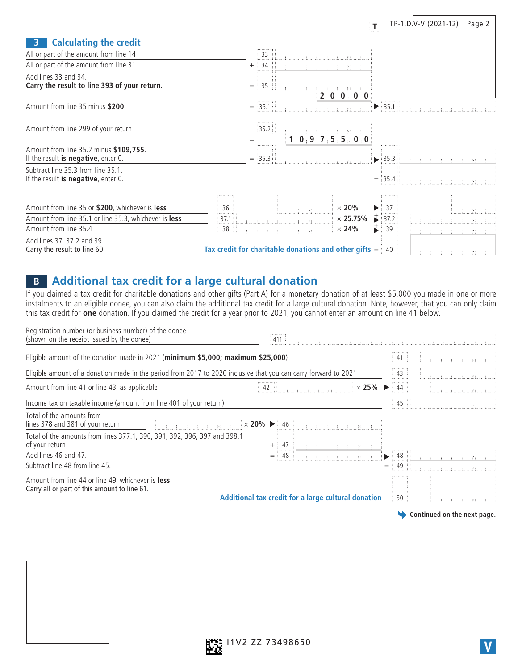| <b>Calculating the credit</b>                                                                                                     |                                                                                                                                                                                                                                                                                                                                                                                                                                                                                                                                                                                                                              |
|-----------------------------------------------------------------------------------------------------------------------------------|------------------------------------------------------------------------------------------------------------------------------------------------------------------------------------------------------------------------------------------------------------------------------------------------------------------------------------------------------------------------------------------------------------------------------------------------------------------------------------------------------------------------------------------------------------------------------------------------------------------------------|
| All or part of the amount from line 14                                                                                            | 33                                                                                                                                                                                                                                                                                                                                                                                                                                                                                                                                                                                                                           |
| All or part of the amount from line 31                                                                                            | 34<br>一本 (まいま)<br>i ee i                                                                                                                                                                                                                                                                                                                                                                                                                                                                                                                                                                                                     |
| Add lines 33 and 34.<br>Carry the result to line 393 of your return.                                                              | $\frac{1}{2}$ 35<br>$=$                                                                                                                                                                                                                                                                                                                                                                                                                                                                                                                                                                                                      |
| Amount from line 35 minus \$200                                                                                                   | $2 + 0 + 0 + 0 + 0$<br>.<br>35.1<br>35.1<br>$=$                                                                                                                                                                                                                                                                                                                                                                                                                                                                                                                                                                              |
| Amount from line 299 of your return                                                                                               | 35.2<br>للماسمة المستلمسة المستلمسة المستهد<br>1.0.9.7.5.5.0.0                                                                                                                                                                                                                                                                                                                                                                                                                                                                                                                                                               |
| Amount from line 35.2 minus \$109,755.<br>If the result is negative, enter $0$ .                                                  | $=$ 35.3<br>$\frac{1}{2}$ 35.3                                                                                                                                                                                                                                                                                                                                                                                                                                                                                                                                                                                               |
| Subtract line 35.3 from line 35.1.<br>If the result is negative, enter $0$ .                                                      | $=$ :35.4                                                                                                                                                                                                                                                                                                                                                                                                                                                                                                                                                                                                                    |
| Amount from line 35 or \$200, whichever is less<br>Amount from line 35.1 or line 35.3, whichever is less<br>Amount from line 35.4 | 36<br>$\begin{array}{ c c c c c }\hline \begin{array}{ c c c c }\hline \begin{array}{ c c c }\hline \begin{array}{ c c c }\hline \begin{array}{ c c c }\hline \begin{array}{ c c c }\hline \begin{array}{ c c c }\hline \begin{array}{ c c c }\hline \begin{array}{ c c c }\hline \begin{array}{ c c c }\hline \begin{array}{ c c c }\hline \begin{array}{ c c c }\hline \begin{array}{ c c c }\hline \begin{array}{ c c c }\hline \begin{array$<br>-37<br>$\blacktriangleright$ :<br>主に 相 一主<br>$\frac{1}{2}$ 37.2<br>$\times$ 25.75%<br>37.1<br>38<br>$\times$ 24%<br>39<br>$\tau$ , $\tau$ , $\tau$ , $\tau$ , and $\tau$ |
| Add lines 37, 37.2 and 39.<br>Carry the result to line 60.                                                                        | Tax credit for charitable donations and other gifts $=$ 40                                                                                                                                                                                                                                                                                                                                                                                                                                                                                                                                                                   |

### **B Additional tax credit for a large cultural donation**

If you claimed a tax credit for charitable donations and other gifts (Part A) for a monetary donation of at least \$5,000 you made in one or more instalments to an eligible donee, you can also claim the additional tax credit for a large cultural donation. Note, however, that you can only claim this tax credit for **one** donation. If you claimed the credit for a year prior to 2021, you cannot enter an amount on line 41 below.

| Registration number (or business number) of the donee<br>(shown on the receipt issued by the donee)             | 411                                                                                       |     |                                                                                                               |
|-----------------------------------------------------------------------------------------------------------------|-------------------------------------------------------------------------------------------|-----|---------------------------------------------------------------------------------------------------------------|
| Eligible amount of the donation made in 2021 (minimum \$5,000; maximum \$25,000)                                |                                                                                           | 41  | i a a a a mara                                                                                                |
| Eligible amount of a donation made in the period from 2017 to 2020 inclusive that you can carry forward to 2021 |                                                                                           | 43  | no anche stato di contro di una stato di controlla di una stato di una stato di una stato di una stato di una |
| Amount from line 41 or line 43, as applicable                                                                   | $\times$ 25%                                                                              | 44: | السنستقسين المستسا                                                                                            |
| Income tax on taxable income (amount from line 401 of your return)                                              |                                                                                           | 45  | a a a a an am                                                                                                 |
| Total of the amounts from<br>lines 378 and 381 of your return                                                   | .   <sub>11 11</sub> 1 <sub>1</sub> 11 11 12 120% ▶ 46    <sub>11 11</sub> 11 11 11 11 11 |     |                                                                                                               |
| Total of the amounts from lines 377.1, 390, 391, 392, 396, 397 and 398.1<br>of your return                      | 47<br>$+$ 3                                                                               |     |                                                                                                               |
| Add lines 46 and 47.                                                                                            | 48                                                                                        | 48  |                                                                                                               |
| Subtract line 48 from line 45.                                                                                  |                                                                                           | 49  |                                                                                                               |
| Amount from line 44 or line 49, whichever is less.<br>Carry all or part of this amount to line 61.              | Additional tax credit for a large cultural donation                                       | 50  | 一本 一本 一番 一本                                                                                                   |
|                                                                                                                 |                                                                                           |     | Continued on the next page.                                                                                   |